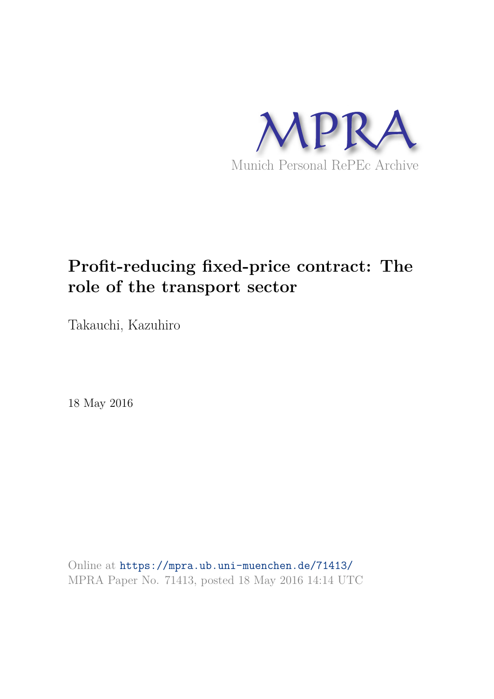

# **Profit-reducing fixed-price contract: The role of the transport sector**

Takauchi, Kazuhiro

18 May 2016

Online at https://mpra.ub.uni-muenchen.de/71413/ MPRA Paper No. 71413, posted 18 May 2016 14:14 UTC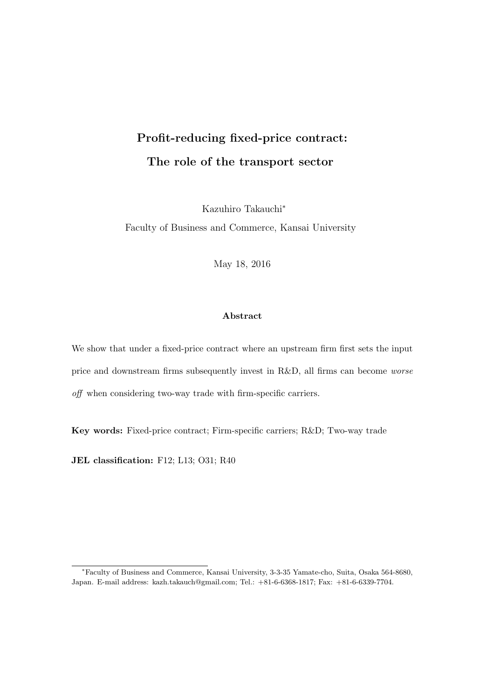## Profit-reducing fixed-price contract: The role of the transport sector

Kazuhiro Takauchi<sup>∗</sup>

Faculty of Business and Commerce, Kansai University

May 18, 2016

#### Abstract

We show that under a fixed-price contract where an upstream firm first sets the input price and downstream firms subsequently invest in R&D, all firms can become worse off when considering two-way trade with firm-specific carriers.

Key words: Fixed-price contract; Firm-specific carriers; R&D; Two-way trade

JEL classification: F12; L13; O31; R40

<sup>∗</sup>Faculty of Business and Commerce, Kansai University, 3-3-35 Yamate-cho, Suita, Osaka 564-8680, Japan. E-mail address: kazh.takauch@gmail.com; Tel.: +81-6-6368-1817; Fax: +81-6-6339-7704.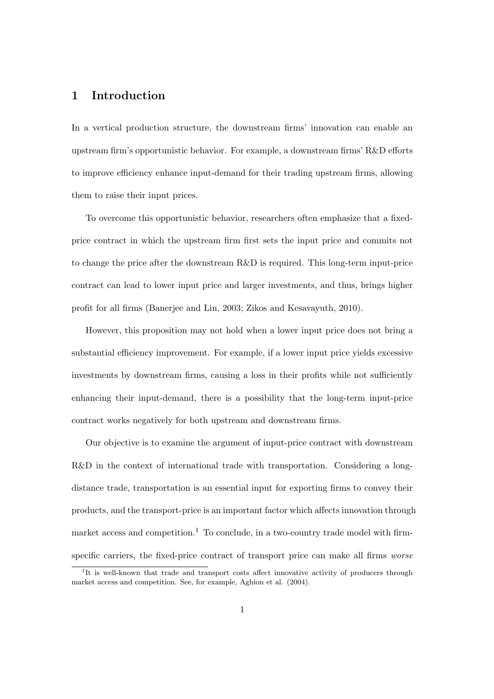## 1 Introduction

In a vertical production structure, the downstream firms' innovation can enable an upstream firm's opportunistic behavior. For example, a downstream firms' R&D efforts to improve efficiency enhance input-demand for their trading upstream firms, allowing them to raise their input prices.

To overcome this opportunistic behavior, researchers often emphasize that a fixedprice contract in which the upstream firm first sets the input price and commits not to change the price after the downstream R&D is required. This long-term input-price contract can lead to lower input price and larger investments, and thus, brings higher profit for all firms (Banerjee and Lin, 2003; Zikos and Kesavayuth, 2010).

However, this proposition may not hold when a lower input price does not bring a substantial efficiency improvement. For example, if a lower input price yields excessive investments by downstream firms, causing a loss in their profits while not sufficiently enhancing their input-demand, there is a possibility that the long-term input-price contract works negatively for both upstream and downstream firms.

Our objective is to examine the argument of input-price contract with downstream R&D in the context of international trade with transportation. Considering a longdistance trade, transportation is an essential input for exporting firms to convey their products, and the transport-price is an important factor which affects innovation through market access and competition.<sup>1</sup> To conclude, in a two-country trade model with firmspecific carriers, the fixed-price contract of transport price can make all firms *worse* 

<sup>&</sup>lt;sup>1</sup>It is well-known that trade and transport costs affect innovative activity of producers through market access and competition. See, for example, Aghion et al. (2004).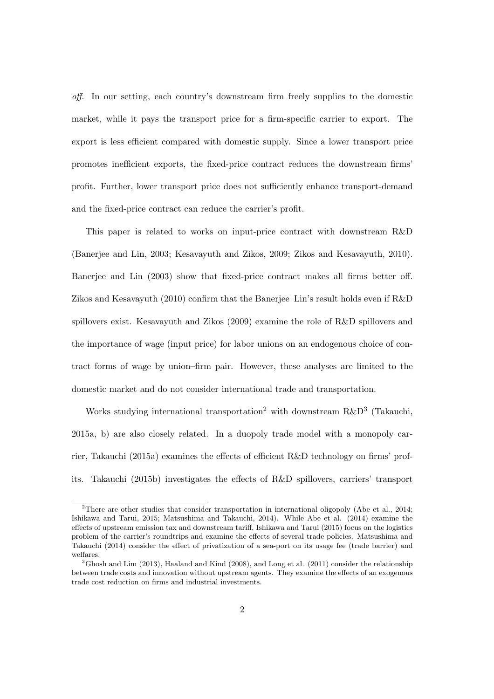off. In our setting, each country's downstream firm freely supplies to the domestic market, while it pays the transport price for a firm-specific carrier to export. The export is less efficient compared with domestic supply. Since a lower transport price promotes inefficient exports, the fixed-price contract reduces the downstream firms' profit. Further, lower transport price does not sufficiently enhance transport-demand and the fixed-price contract can reduce the carrier's profit.

This paper is related to works on input-price contract with downstream R&D (Banerjee and Lin, 2003; Kesavayuth and Zikos, 2009; Zikos and Kesavayuth, 2010). Banerjee and Lin (2003) show that fixed-price contract makes all firms better off. Zikos and Kesavayuth (2010) confirm that the Banerjee–Lin's result holds even if R&D spillovers exist. Kesavayuth and Zikos (2009) examine the role of R&D spillovers and the importance of wage (input price) for labor unions on an endogenous choice of contract forms of wage by union–firm pair. However, these analyses are limited to the domestic market and do not consider international trade and transportation.

Works studying international transportation<sup>2</sup> with downstream  $R\&D^3$  (Takauchi, 2015a, b) are also closely related. In a duopoly trade model with a monopoly carrier, Takauchi (2015a) examines the effects of efficient R&D technology on firms' profits. Takauchi (2015b) investigates the effects of R&D spillovers, carriers' transport

<sup>&</sup>lt;sup>2</sup>There are other studies that consider transportation in international oligopoly (Abe et al., 2014; Ishikawa and Tarui, 2015; Matsushima and Takauchi, 2014). While Abe et al. (2014) examine the effects of upstream emission tax and downstream tariff, Ishikawa and Tarui (2015) focus on the logistics problem of the carrier's roundtrips and examine the effects of several trade policies. Matsushima and Takauchi (2014) consider the effect of privatization of a sea-port on its usage fee (trade barrier) and welfares.

<sup>&</sup>lt;sup>3</sup>Ghosh and Lim (2013), Haaland and Kind (2008), and Long et al. (2011) consider the relationship between trade costs and innovation without upstream agents. They examine the effects of an exogenous trade cost reduction on firms and industrial investments.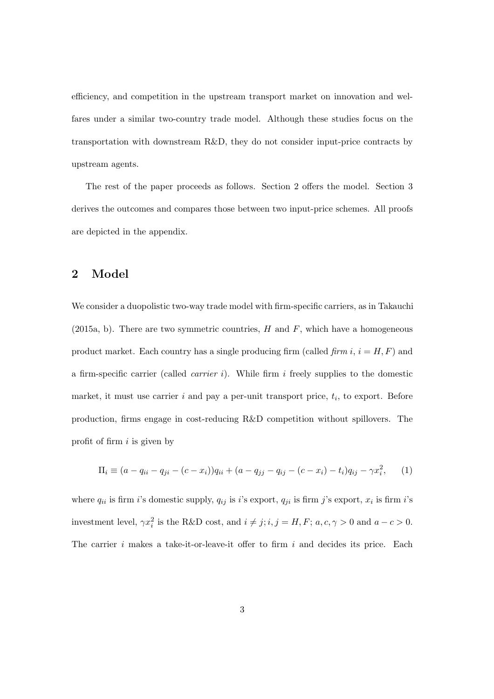efficiency, and competition in the upstream transport market on innovation and welfares under a similar two-country trade model. Although these studies focus on the transportation with downstream R&D, they do not consider input-price contracts by upstream agents.

The rest of the paper proceeds as follows. Section 2 offers the model. Section 3 derives the outcomes and compares those between two input-price schemes. All proofs are depicted in the appendix.

#### 2 Model

We consider a duopolistic two-way trade model with firm-specific carriers, as in Takauchi (2015a, b). There are two symmetric countries,  $H$  and  $F$ , which have a homogeneous product market. Each country has a single producing firm (called firm  $i, i = H, F$ ) and a firm-specific carrier (called *carrier i*). While firm i freely supplies to the domestic market, it must use carrier  $i$  and pay a per-unit transport price,  $t_i$ , to export. Before production, firms engage in cost-reducing R&D competition without spillovers. The profit of firm  $i$  is given by

$$
\Pi_i \equiv (a - q_{ii} - q_{ji} - (c - x_i))q_{ii} + (a - q_{jj} - q_{ij} - (c - x_i) - t_i)q_{ij} - \gamma x_i^2, \qquad (1)
$$

where  $q_{ii}$  is firm *i*'s domestic supply,  $q_{ij}$  is *i*'s export,  $q_{ji}$  is firm *j*'s export,  $x_i$  is firm *i*'s investment level,  $\gamma x_i^2$  is the R&D cost, and  $i \neq j$ ;  $i, j = H, F$ ;  $a, c, \gamma > 0$  and  $a - c > 0$ . The carrier i makes a take-it-or-leave-it offer to firm i and decides its price. Each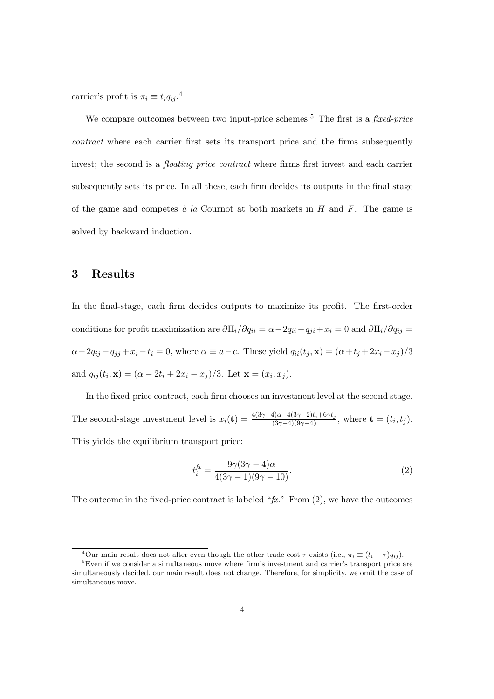carrier's profit is  $\pi_i \equiv t_i q_{ij}$ .<sup>4</sup>

We compare outcomes between two input-price schemes.<sup>5</sup> The first is a *fixed-price* contract where each carrier first sets its transport price and the firms subsequently invest; the second is a *floating price contract* where firms first invest and each carrier subsequently sets its price. In all these, each firm decides its outputs in the final stage of the game and competes  $\dot{a}$  la Cournot at both markets in H and F. The game is solved by backward induction.

#### 3 Results

In the final-stage, each firm decides outputs to maximize its profit. The first-order conditions for profit maximization are  $\partial \Pi_i/\partial q_{ii} = \alpha - 2q_{ii} - q_{ji} + x_i = 0$  and  $\partial \Pi_i/\partial q_{ij} =$  $\alpha-2q_{ij}-q_{jj}+x_i-t_i=0$ , where  $\alpha \equiv a-c$ . These yield  $q_{ii}(t_j, \mathbf{x}) = (\alpha+t_j+2x_i-x_j)/3$ and  $q_{ij}(t_i, \mathbf{x}) = (\alpha - 2t_i + 2x_i - x_j)/3$ . Let  $\mathbf{x} = (x_i, x_j)$ .

In the fixed-price contract, each firm chooses an investment level at the second stage. The second-stage investment level is  $x_i(\mathbf{t}) = \frac{4(3\gamma - 4)\alpha - 4(3\gamma - 2)t_i + 6\gamma t_j}{(3\gamma - 4)(9\gamma - 4)}$ , where  $\mathbf{t} = (t_i, t_j)$ . This yields the equilibrium transport price:

$$
t_i^{fx} = \frac{9\gamma(3\gamma - 4)\alpha}{4(3\gamma - 1)(9\gamma - 10)}.\tag{2}
$$

The outcome in the fixed-price contract is labeled " $fx$ ." From  $(2)$ , we have the outcomes

 $\overline{^{4}$ Our main result does not alter even though the other trade cost  $\tau$  exists (i.e.,  $\pi_i \equiv (t_i - \tau)q_{ij}$ ).

 ${}^{5}$ Even if we consider a simultaneous move where firm's investment and carrier's transport price are simultaneously decided, our main result does not change. Therefore, for simplicity, we omit the case of simultaneous move.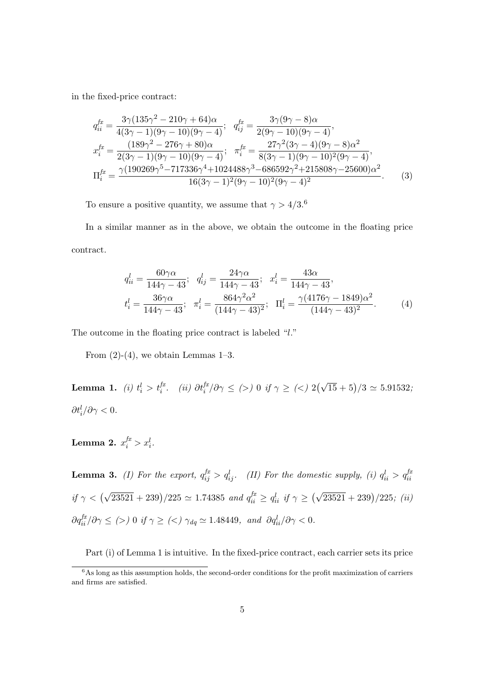in the fixed-price contract:

$$
q_{ii}^{fx} = \frac{3\gamma(135\gamma^2 - 210\gamma + 64)\alpha}{4(3\gamma - 1)(9\gamma - 10)(9\gamma - 4)}; \quad q_{ij}^{fx} = \frac{3\gamma(9\gamma - 8)\alpha}{2(9\gamma - 10)(9\gamma - 4)},
$$
  
\n
$$
x_{i}^{fx} = \frac{(189\gamma^2 - 276\gamma + 80)\alpha}{2(3\gamma - 1)(9\gamma - 10)(9\gamma - 4)}; \quad \pi_{i}^{fx} = \frac{27\gamma^2(3\gamma - 4)(9\gamma - 8)\alpha^2}{8(3\gamma - 1)(9\gamma - 10)^2(9\gamma - 4)},
$$
  
\n
$$
\Pi_{i}^{fx} = \frac{\gamma(190269\gamma^5 - 717336\gamma^4 + 1024488\gamma^3 - 686592\gamma^2 + 215808\gamma - 25600)\alpha^2}{16(3\gamma - 1)^2(9\gamma - 10)^2(9\gamma - 4)^2}.
$$
 (3)

To ensure a positive quantity, we assume that  $\gamma > 4/3.6$ 

In a similar manner as in the above, we obtain the outcome in the floating price contract.

$$
q_{ii}^l = \frac{60\gamma\alpha}{144\gamma - 43}; \quad q_{ij}^l = \frac{24\gamma\alpha}{144\gamma - 43}; \quad x_i^l = \frac{43\alpha}{144\gamma - 43},
$$
  

$$
t_i^l = \frac{36\gamma\alpha}{144\gamma - 43}; \quad \pi_i^l = \frac{864\gamma^2\alpha^2}{(144\gamma - 43)^2}; \quad \Pi_i^l = \frac{\gamma(4176\gamma - 1849)\alpha^2}{(144\gamma - 43)^2}.
$$
 (4)

The outcome in the floating price contract is labeled "l."

From  $(2)-(4)$ , we obtain Lemmas 1–3.

Lemma 1. *(i)*  $t_i^l > t_i^{f_x}$ . *(ii)*  $\partial t_i^{f_x}/\partial \gamma \leq$  (>) 0 if  $\gamma \geq$  (<)  $2(\sqrt{15} + 5)/3 \simeq 5.91532$ ;  $\partial t_i^l/\partial \gamma < 0.$ 

Lemma 2.  $x_i^{fx} > x_i^l$ .

**Lemma 3.** (*I*) For the export,  $q_{ij}^{fx} > q_{ij}^l$ . (*II*) For the domestic supply, (*i*)  $q_{ii}^l > q_{ii}^{fa}$ if  $\gamma < (\sqrt{23521} + 239)/225 \simeq 1.74385$  and  $q_{ii}^{fx} \ge q_{ii}^{l}$  if  $\gamma \ge (\sqrt{23521} + 239)/225$ ; (ii)  $\partial q_{ii}^{fr}/\partial \gamma \leq$  (>) 0 if  $\gamma \geq$  (<)  $\gamma_{dq} \simeq 1.48449$ , and  $\partial q_{ii}^{l}/\partial \gamma < 0$ .

Part (i) of Lemma 1 is intuitive. In the fixed-price contract, each carrier sets its price

 $6$ As long as this assumption holds, the second-order conditions for the profit maximization of carriers and firms are satisfied.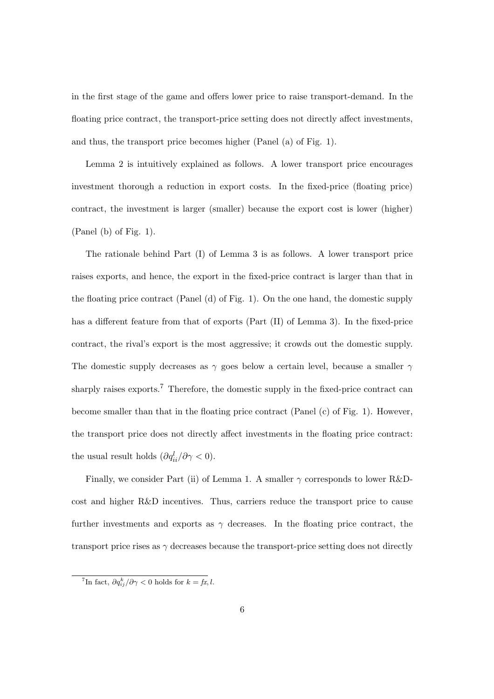in the first stage of the game and offers lower price to raise transport-demand. In the floating price contract, the transport-price setting does not directly affect investments, and thus, the transport price becomes higher (Panel (a) of Fig. 1).

Lemma 2 is intuitively explained as follows. A lower transport price encourages investment thorough a reduction in export costs. In the fixed-price (floating price) contract, the investment is larger (smaller) because the export cost is lower (higher) (Panel (b) of Fig. 1).

The rationale behind Part (I) of Lemma 3 is as follows. A lower transport price raises exports, and hence, the export in the fixed-price contract is larger than that in the floating price contract (Panel (d) of Fig. 1). On the one hand, the domestic supply has a different feature from that of exports (Part (II) of Lemma 3). In the fixed-price contract, the rival's export is the most aggressive; it crowds out the domestic supply. The domestic supply decreases as  $\gamma$  goes below a certain level, because a smaller  $\gamma$ sharply raises exports.<sup>7</sup> Therefore, the domestic supply in the fixed-price contract can become smaller than that in the floating price contract (Panel (c) of Fig. 1). However, the transport price does not directly affect investments in the floating price contract: the usual result holds  $(\partial q_{ii}^l / \partial \gamma < 0)$ .

Finally, we consider Part (ii) of Lemma 1. A smaller  $\gamma$  corresponds to lower R&Dcost and higher R&D incentives. Thus, carriers reduce the transport price to cause further investments and exports as  $\gamma$  decreases. In the floating price contract, the transport price rises as  $\gamma$  decreases because the transport-price setting does not directly

<sup>&</sup>lt;sup>7</sup>In fact,  $\partial q_{ij}^k / \partial \gamma < 0$  holds for  $k = fx, l$ .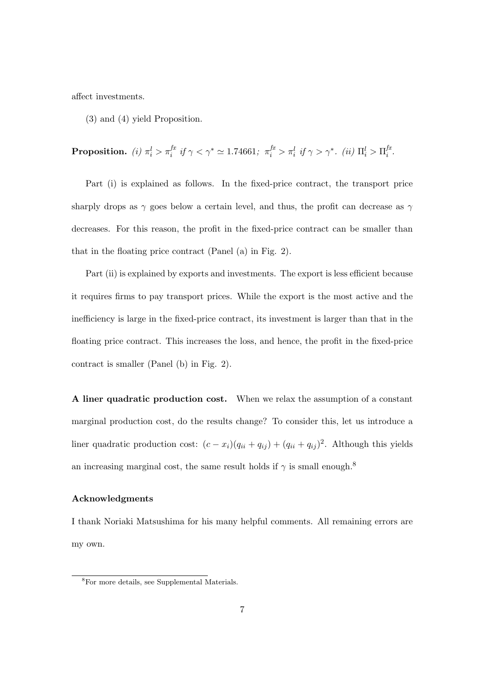affect investments.

(3) and (4) yield Proposition.

**Proposition.** (i)  $\pi_i^l > \pi_i^{f x}$  if  $\gamma < \gamma^* \simeq 1.74661$ ;  $\pi_i^{f x} > \pi_i^l$  if  $\gamma > \gamma^*$ . (ii)  $\Pi_i^l > \Pi_i^{f x}$  $\frac{dx}{i}$ .

Part (i) is explained as follows. In the fixed-price contract, the transport price sharply drops as  $\gamma$  goes below a certain level, and thus, the profit can decrease as  $\gamma$ decreases. For this reason, the profit in the fixed-price contract can be smaller than that in the floating price contract (Panel (a) in Fig. 2).

Part (ii) is explained by exports and investments. The export is less efficient because it requires firms to pay transport prices. While the export is the most active and the inefficiency is large in the fixed-price contract, its investment is larger than that in the floating price contract. This increases the loss, and hence, the profit in the fixed-price contract is smaller (Panel (b) in Fig. 2).

A liner quadratic production cost. When we relax the assumption of a constant marginal production cost, do the results change? To consider this, let us introduce a liner quadratic production cost:  $(c - x_i)(q_{ii} + q_{ij}) + (q_{ii} + q_{ij})^2$ . Although this yields an increasing marginal cost, the same result holds if  $\gamma$  is small enough.<sup>8</sup>

#### Acknowledgments

I thank Noriaki Matsushima for his many helpful comments. All remaining errors are my own.

<sup>8</sup>For more details, see Supplemental Materials.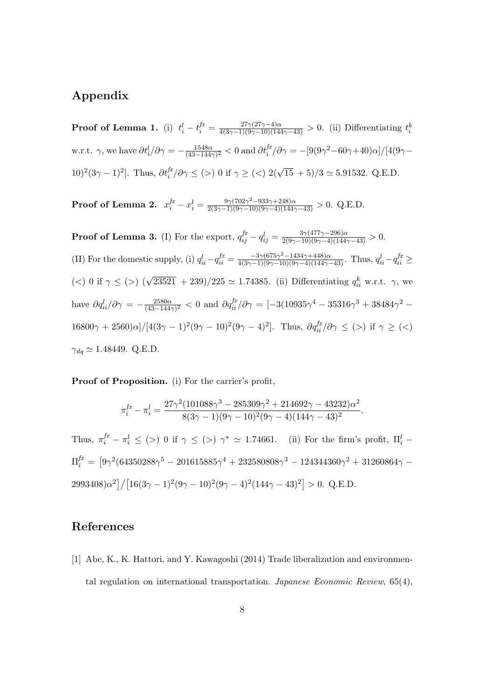## Appendix

**Proof of Lemma 1.** (i)  $t_i^l - t_i^{fr} = \frac{27\gamma(27\gamma - 4)\alpha}{4(3\gamma - 1)(9\gamma - 10)(144\gamma - 43)} > 0$ . (ii) Differentiating  $t_i^k$ w.r.t.  $\gamma$ , we have  $\partial t_i^l/\partial \gamma = -\frac{1548\alpha}{(43-144\gamma)^2} < 0$  and  $\partial t_i^{fx}/\partial \gamma = -[9(9\gamma^2-60\gamma+40)\alpha]/[4(9\gamma-1)]$ 10)<sup>2</sup>(3 $\gamma$  – 1)<sup>2</sup>]. Thus,  $\partial t_i^{f\!x}/\partial \gamma \leq (>)$  0 if  $\gamma \geq (>)$  2( $\sqrt{15} + 5)/3 \simeq 5.91532$ . Q.E.D.

**Proof of Lemma 2.**  $x_i^{fx} - x_i^l = \frac{9\gamma(702\gamma^2 - 933\gamma + 248)\alpha}{2(3\gamma - 1)(9\gamma - 10)(9\gamma - 4)(144\gamma - 43)} > 0.$  Q.E.D.

**Proof of Lemma 3.** (I) For the export,  $q_{ij}^{fx} - q_{ij}^l = \frac{3\gamma(477\gamma - 296)\alpha}{2(9\gamma - 10)(9\gamma - 4)(144\gamma - 43)} > 0.$ (II) For the domestic supply, (i)  $q_{ii}^l - q_{ii}^{fx} = \frac{-3\gamma(675\gamma^2 - 1434\gamma + 448)\alpha}{4(3\gamma - 1)(9\gamma - 10)(9\gamma - 4)(144\gamma - 43)}$ . Thus,  $q_{ii}^l - q_{ii}^{fx} \ge$ (<) 0 if  $\gamma \leq$  (>)  $(\sqrt{23521} + 239)/225 \simeq 1.74385$ . (ii) Differentiating  $q_{ii}^k$  w.r.t.  $\gamma$ , we have  $\partial q_{ii}^l/\partial \gamma = -\frac{2580\alpha}{(43-144\gamma)^2} < 0$  and  $\partial q_{ii}^{fx}/\partial \gamma = [-3(10935\gamma^4 - 35316\gamma^3 + 38484\gamma^2 16800\gamma + 2560\alpha$ |/[ $4(3\gamma - 1)^2(9\gamma - 10)^2(9\gamma - 4)^2$ ]. Thus,  $\partial q_{ii}^{fx}/\partial \gamma \leq$  (>) if  $\gamma \geq$  (<)  $\gamma_{dq} \simeq 1.48449. \text{ Q.E.D.}$ 

Proof of Proposition. (i) For the carrier's profit,

$$
\pi_i^{fx} - \pi_i^l = \frac{27\gamma^2 (101088\gamma^3 - 285309\gamma^2 + 214692\gamma - 43232)\alpha^2}{8(3\gamma - 1)(9\gamma - 10)^2(9\gamma - 4)(144\gamma - 43)^2}.
$$

Thus,  $\pi_i^{fx} - \pi_i^l \leq$  (>) 0 if  $\gamma \leq$  (>)  $\gamma^* \simeq$  1.74661. (ii) For the firm's profit,  $\Pi_i^l$  - $\Pi_i^{fx} = \left[9\gamma^2(64350288\gamma^5 - 201615885\gamma^4 + 232580808\gamma^3 - 124344360\gamma^2 + 31260864\gamma - \right.$  $2993408)\alpha^2\left[\frac{16(3\gamma-1)^2(9\gamma-10)^2(9\gamma-4)^2(144\gamma-43)^2}{5.28}\right] > 0.$  Q.E.D.

## References

[1] Abe, K., K. Hattori, and Y. Kawagoshi (2014) Trade liberalization and environmental regulation on international transportation. *Japanese Economic Review*,  $65(4)$ ,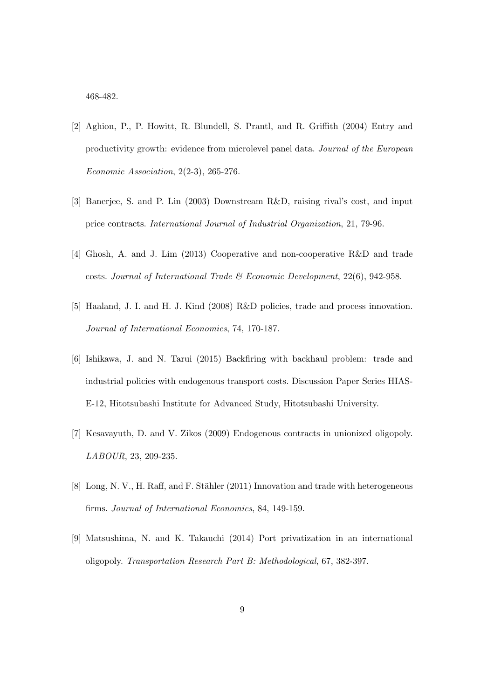468-482.

- [2] Aghion, P., P. Howitt, R. Blundell, S. Prantl, and R. Griffith (2004) Entry and productivity growth: evidence from microlevel panel data. Journal of the European Economic Association, 2(2-3), 265-276.
- [3] Banerjee, S. and P. Lin (2003) Downstream R&D, raising rival's cost, and input price contracts. International Journal of Industrial Organization, 21, 79-96.
- [4] Ghosh, A. and J. Lim (2013) Cooperative and non-cooperative R&D and trade costs. Journal of International Trade  $\mathcal B$  Economic Development, 22(6), 942-958.
- [5] Haaland, J. I. and H. J. Kind (2008) R&D policies, trade and process innovation. Journal of International Economics, 74, 170-187.
- [6] Ishikawa, J. and N. Tarui (2015) Backfiring with backhaul problem: trade and industrial policies with endogenous transport costs. Discussion Paper Series HIAS-E-12, Hitotsubashi Institute for Advanced Study, Hitotsubashi University.
- [7] Kesavayuth, D. and V. Zikos (2009) Endogenous contracts in unionized oligopoly. LABOUR, 23, 209-235.
- [8] Long, N. V., H. Raff, and F. Stähler (2011) Innovation and trade with heterogeneous firms. Journal of International Economics, 84, 149-159.
- [9] Matsushima, N. and K. Takauchi (2014) Port privatization in an international oligopoly. Transportation Research Part B: Methodological, 67, 382-397.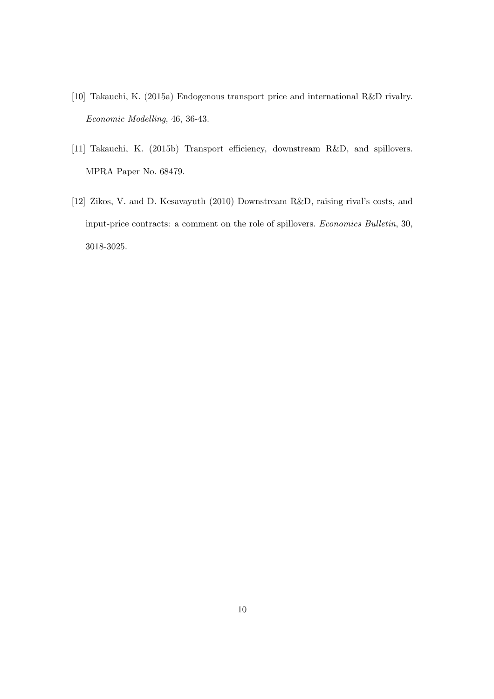- [10] Takauchi, K. (2015a) Endogenous transport price and international R&D rivalry. Economic Modelling, 46, 36-43.
- [11] Takauchi, K. (2015b) Transport efficiency, downstream R&D, and spillovers. MPRA Paper No. 68479.
- [12] Zikos, V. and D. Kesavayuth (2010) Downstream R&D, raising rival's costs, and input-price contracts: a comment on the role of spillovers. Economics Bulletin, 30, 3018-3025.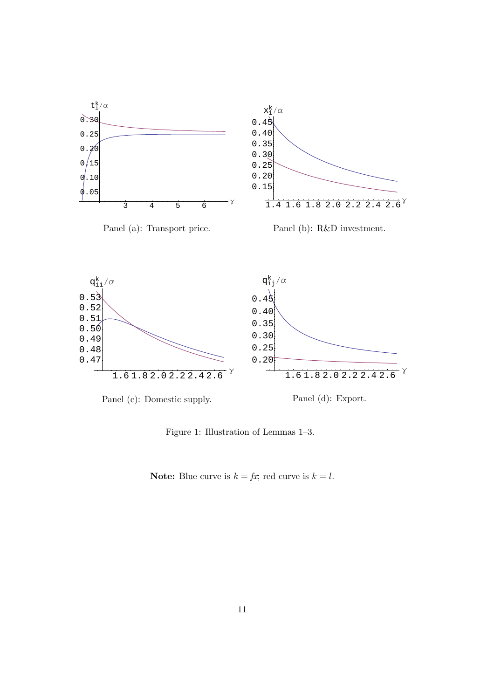

Figure 1: Illustration of Lemmas 1–3.

**Note:** Blue curve is  $k = fx$ ; red curve is  $k = l$ .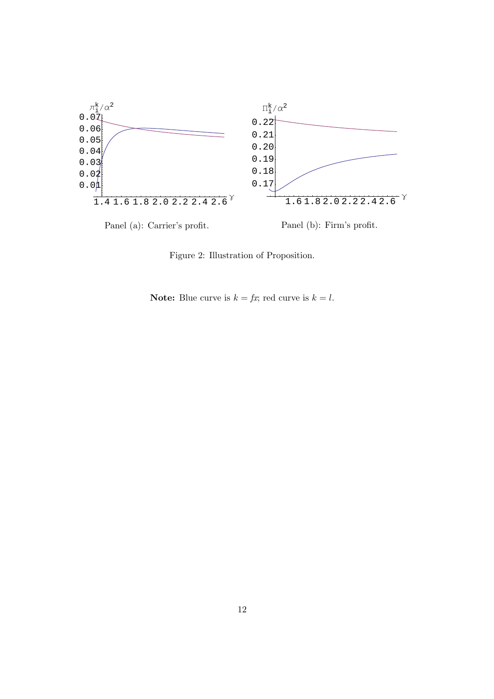

Figure 2: Illustration of Proposition.

**Note:** Blue curve is  $k = fx$ ; red curve is  $k = l$ .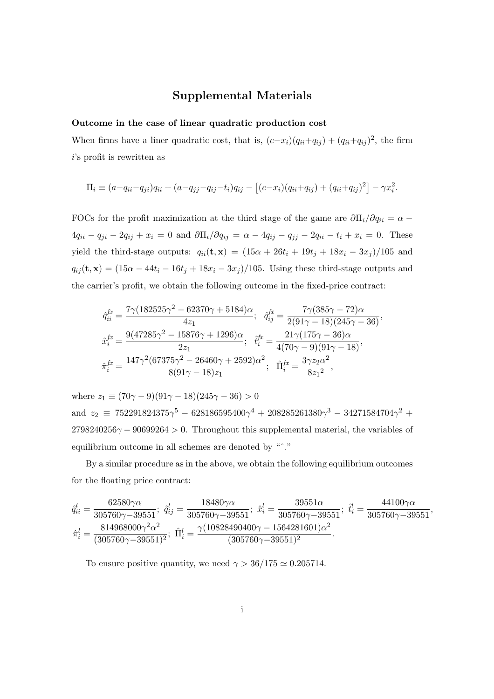### Supplemental Materials

#### Outcome in the case of linear quadratic production cost

When firms have a liner quadratic cost, that is,  $(c-x_i)(q_{ii}+q_{ij}) + (q_{ii}+q_{ij})^2$ , the firm i's profit is rewritten as

$$
\Pi_i \equiv (a - q_{ii} - q_{ji})q_{ii} + (a - q_{jj} - q_{ij} - t_i)q_{ij} - [(c - x_i)(q_{ii} + q_{ij}) + (q_{ii} + q_{ij})^2] - \gamma x_i^2.
$$

FOCs for the profit maximization at the third stage of the game are  $\partial \Pi_i / \partial q_{ii} = \alpha 4q_{ii} - q_{ji} - 2q_{ij} + x_i = 0$  and  $\partial \Pi_i / \partial q_{ij} = \alpha - 4q_{ij} - q_{ji} - 2q_{ii} - t_i + x_i = 0$ . These yield the third-stage outputs:  $q_{ii}(\mathbf{t}, \mathbf{x}) = (15\alpha + 26t_i + 19t_j + 18x_i - 3x_j)/105$  and  $q_{ij}(\mathbf{t}, \mathbf{x}) = (15\alpha - 44t_i - 16t_j + 18x_i - 3x_j)/105$ . Using these third-stage outputs and the carrier's profit, we obtain the following outcome in the fixed-price contract:

$$
\begin{split} \hat{q}_{ii}^{fx} &= \frac{7\gamma(182525\gamma^2 - 62370\gamma + 5184)\alpha}{4z_1}; \quad \hat{q}_{ij}^{fx} = \frac{7\gamma(385\gamma - 72)\alpha}{2(91\gamma - 18)(245\gamma - 36)},\\ \hat{x}_{i}^{fx} &= \frac{9(47285\gamma^2 - 15876\gamma + 1296)\alpha}{2z_1}; \quad \hat{t}_{i}^{fx} = \frac{21\gamma(175\gamma - 36)\alpha}{4(70\gamma - 9)(91\gamma - 18)},\\ \hat{\pi}_{i}^{fx} &= \frac{147\gamma^2(67375\gamma^2 - 26460\gamma + 2592)\alpha^2}{8(91\gamma - 18)z_1}; \quad \hat{\Pi}_{i}^{fx} = \frac{3\gamma z_2\alpha^2}{8z_1^2}, \end{split}
$$

where  $z_1 \equiv (70\gamma - 9)(91\gamma - 18)(245\gamma - 36) > 0$ and  $z_2 \equiv 752291824375\gamma^5 - 628186595400\gamma^4 + 208285261380\gamma^3 - 34271584704\gamma^2 +$  $2798240256\gamma - 90699264 > 0$ . Throughout this supplemental material, the variables of equilibrium outcome in all schemes are denoted by "ˆ."

By a similar procedure as in the above, we obtain the following equilibrium outcomes for the floating price contract:

$$
\hat{q}_{ii}^l = \frac{62580\gamma\alpha}{305760\gamma - 39551}; \quad \hat{q}_{ij}^l = \frac{18480\gamma\alpha}{305760\gamma - 39551}; \quad \hat{x}_i^l = \frac{39551\alpha}{305760\gamma - 39551}; \quad \hat{t}_i^l = \frac{44100\gamma\alpha}{305760\gamma - 39551},
$$
\n
$$
\hat{\pi}_i^l = \frac{814968000\gamma^2\alpha^2}{(305760\gamma - 39551)^2}; \quad \hat{\Pi}_i^l = \frac{\gamma(10828490400\gamma - 1564281601)\alpha^2}{(305760\gamma - 39551)^2}.
$$

To ensure positive quantity, we need  $\gamma > 36/175 \simeq 0.205714$ .